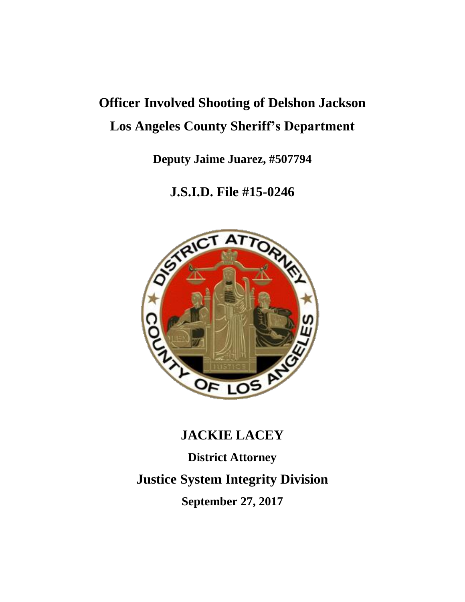# **Officer Involved Shooting of Delshon Jackson Los Angeles County Sheriff's Department**

**Deputy Jaime Juarez, #507794**

# **J.S.I.D. File #15-0246**



# **JACKIE LACEY**

**District Attorney**

**Justice System Integrity Division**

**September 27, 2017**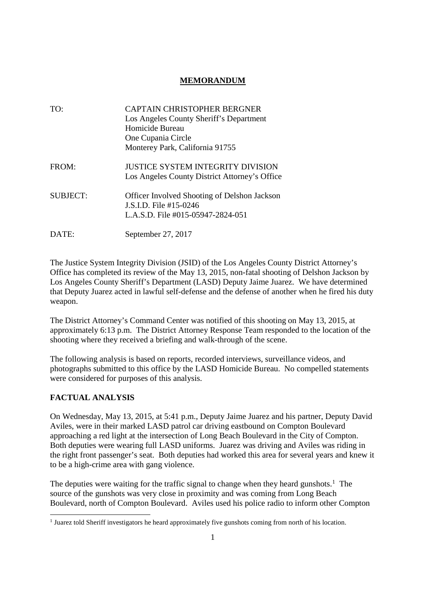## **MEMORANDUM**

| TO:             | <b>CAPTAIN CHRISTOPHER BERGNER</b>                  |
|-----------------|-----------------------------------------------------|
|                 | Los Angeles County Sheriff's Department             |
|                 | Homicide Bureau                                     |
|                 | One Cupania Circle                                  |
|                 | Monterey Park, California 91755                     |
| FROM:           | <b>JUSTICE SYSTEM INTEGRITY DIVISION</b>            |
|                 | Los Angeles County District Attorney's Office       |
| <b>SUBJECT:</b> | <b>Officer Involved Shooting of Delshon Jackson</b> |
|                 | J.S.I.D. File #15-0246                              |
|                 | L.A.S.D. File #015-05947-2824-051                   |
| DATE:           | September 27, 2017                                  |

The Justice System Integrity Division (JSID) of the Los Angeles County District Attorney's Office has completed its review of the May 13, 2015, non-fatal shooting of Delshon Jackson by Los Angeles County Sheriff's Department (LASD) Deputy Jaime Juarez. We have determined that Deputy Juarez acted in lawful self-defense and the defense of another when he fired his duty weapon.

The District Attorney's Command Center was notified of this shooting on May 13, 2015, at approximately 6:13 p.m. The District Attorney Response Team responded to the location of the shooting where they received a briefing and walk-through of the scene.

The following analysis is based on reports, recorded interviews, surveillance videos, and photographs submitted to this office by the LASD Homicide Bureau. No compelled statements were considered for purposes of this analysis.

## **FACTUAL ANALYSIS**

On Wednesday, May 13, 2015, at 5:41 p.m., Deputy Jaime Juarez and his partner, Deputy David Aviles, were in their marked LASD patrol car driving eastbound on Compton Boulevard approaching a red light at the intersection of Long Beach Boulevard in the City of Compton. Both deputies were wearing full LASD uniforms. Juarez was driving and Aviles was riding in the right front passenger's seat. Both deputies had worked this area for several years and knew it to be a high-crime area with gang violence.

The deputies were waiting for the traffic signal to change when they heard gunshots.<sup>1</sup> The source of the gunshots was very close in proximity and was coming from Long Beach Boulevard, north of Compton Boulevard. Aviles used his police radio to inform other Compton

<sup>&</sup>lt;sup>1</sup> Juarez told Sheriff investigators he heard approximately five gunshots coming from north of his location.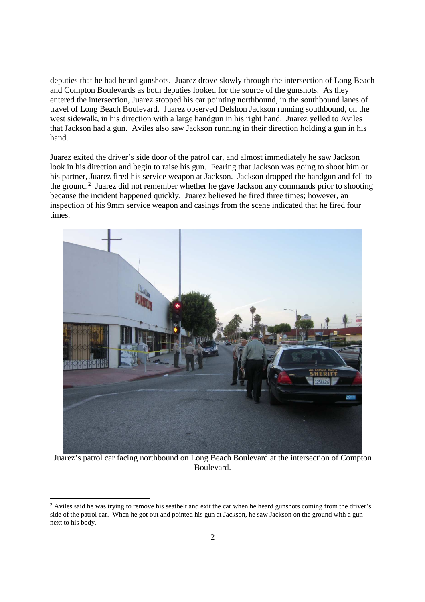deputies that he had heard gunshots. Juarez drove slowly through the intersection of Long Beach and Compton Boulevards as both deputies looked for the source of the gunshots. As they entered the intersection, Juarez stopped his car pointing northbound, in the southbound lanes of travel of Long Beach Boulevard. Juarez observed Delshon Jackson running southbound, on the west sidewalk, in his direction with a large handgun in his right hand. Juarez yelled to Aviles that Jackson had a gun. Aviles also saw Jackson running in their direction holding a gun in his hand.

Juarez exited the driver's side door of the patrol car, and almost immediately he saw Jackson look in his direction and begin to raise his gun. Fearing that Jackson was going to shoot him or his partner, Juarez fired his service weapon at Jackson. Jackson dropped the handgun and fell to the ground.<sup>2</sup> Juarez did not remember whether he gave Jackson any commands prior to shooting because the incident happened quickly. Juarez believed he fired three times; however, an inspection of his 9mm service weapon and casings from the scene indicated that he fired four times.



Juarez's patrol car facing northbound on Long Beach Boulevard at the intersection of Compton Boulevard.

<sup>&</sup>lt;sup>2</sup> Aviles said he was trying to remove his seatbelt and exit the car when he heard gunshots coming from the driver's side of the patrol car. When he got out and pointed his gun at Jackson, he saw Jackson on the ground with a gun next to his body.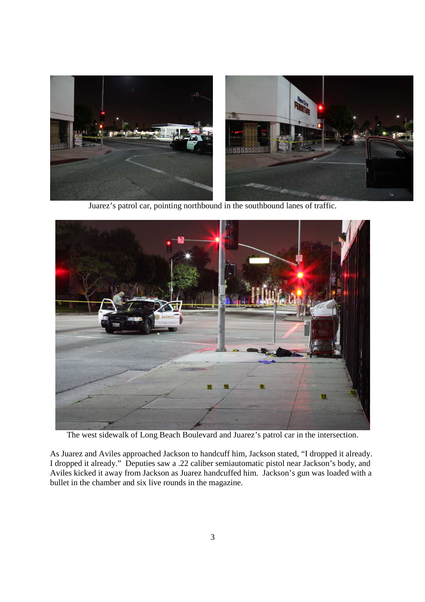

Juarez's patrol car, pointing northbound in the southbound lanes of traffic.



The west sidewalk of Long Beach Boulevard and Juarez's patrol car in the intersection.

As Juarez and Aviles approached Jackson to handcuff him, Jackson stated, "I dropped it already. I dropped it already." Deputies saw a .22 caliber semiautomatic pistol near Jackson's body, and Aviles kicked it away from Jackson as Juarez handcuffed him. Jackson's gun was loaded with a bullet in the chamber and six live rounds in the magazine.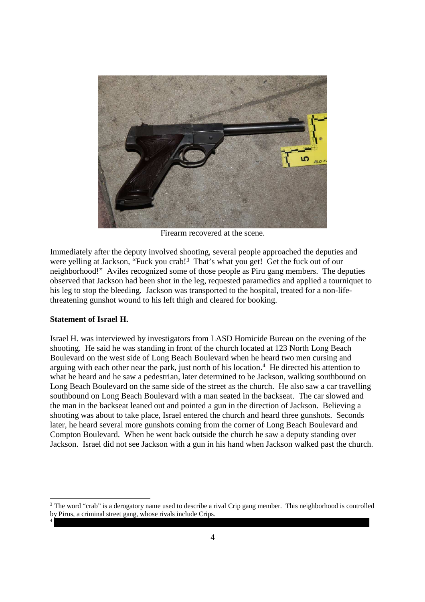

Firearm recovered at the scene.

Immediately after the deputy involved shooting, several people approached the deputies and were yelling at Jackson, "Fuck you crab!<sup>3</sup> That's what you get! Get the fuck out of our neighborhood!" Aviles recognized some of those people as Piru gang members. The deputies observed that Jackson had been shot in the leg, requested paramedics and applied a tourniquet to his leg to stop the bleeding. Jackson was transported to the hospital, treated for a non-lifethreatening gunshot wound to his left thigh and cleared for booking.

#### **Statement of Israel H.**

4

Israel H. was interviewed by investigators from LASD Homicide Bureau on the evening of the shooting. He said he was standing in front of the church located at 123 North Long Beach Boulevard on the west side of Long Beach Boulevard when he heard two men cursing and arguing with each other near the park, just north of his location.<sup>4</sup> He directed his attention to what he heard and he saw a pedestrian, later determined to be Jackson, walking southbound on Long Beach Boulevard on the same side of the street as the church. He also saw a car travelling southbound on Long Beach Boulevard with a man seated in the backseat. The car slowed and the man in the backseat leaned out and pointed a gun in the direction of Jackson. Believing a shooting was about to take place, Israel entered the church and heard three gunshots. Seconds later, he heard several more gunshots coming from the corner of Long Beach Boulevard and Compton Boulevard. When he went back outside the church he saw a deputy standing over Jackson. Israel did not see Jackson with a gun in his hand when Jackson walked past the church.

<sup>&</sup>lt;sup>3</sup> The word "crab" is a derogatory name used to describe a rival Crip gang member. This neighborhood is controlled by Pirus, a criminal street gang, whose rivals include Crips.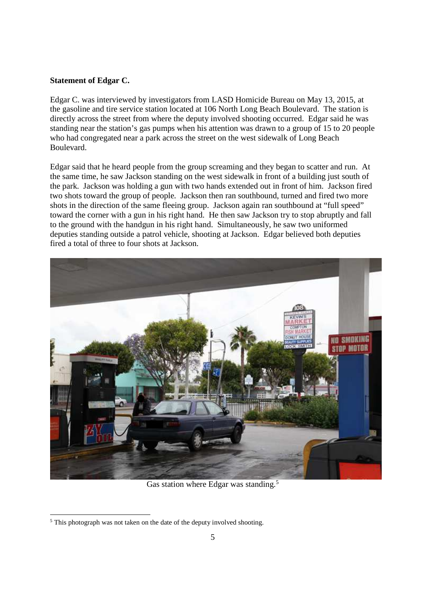#### **Statement of Edgar C.**

Edgar C. was interviewed by investigators from LASD Homicide Bureau on May 13, 2015, at the gasoline and tire service station located at 106 North Long Beach Boulevard. The station is directly across the street from where the deputy involved shooting occurred. Edgar said he was standing near the station's gas pumps when his attention was drawn to a group of 15 to 20 people who had congregated near a park across the street on the west sidewalk of Long Beach Boulevard.

Edgar said that he heard people from the group screaming and they began to scatter and run. At the same time, he saw Jackson standing on the west sidewalk in front of a building just south of the park. Jackson was holding a gun with two hands extended out in front of him. Jackson fired two shots toward the group of people. Jackson then ran southbound, turned and fired two more shots in the direction of the same fleeing group. Jackson again ran southbound at "full speed" toward the corner with a gun in his right hand. He then saw Jackson try to stop abruptly and fall to the ground with the handgun in his right hand. Simultaneously, he saw two uniformed deputies standing outside a patrol vehicle, shooting at Jackson. Edgar believed both deputies fired a total of three to four shots at Jackson.



Gas station where Edgar was standing.<sup>5</sup>

<sup>&</sup>lt;sup>5</sup> This photograph was not taken on the date of the deputy involved shooting.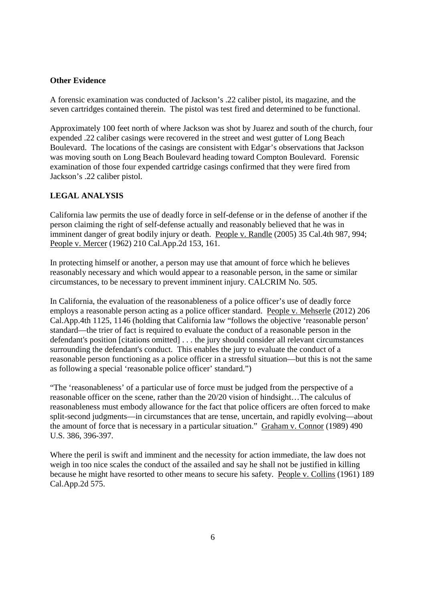#### **Other Evidence**

A forensic examination was conducted of Jackson's .22 caliber pistol, its magazine, and the seven cartridges contained therein. The pistol was test fired and determined to be functional.

Approximately 100 feet north of where Jackson was shot by Juarez and south of the church, four expended .22 caliber casings were recovered in the street and west gutter of Long Beach Boulevard. The locations of the casings are consistent with Edgar's observations that Jackson was moving south on Long Beach Boulevard heading toward Compton Boulevard. Forensic examination of those four expended cartridge casings confirmed that they were fired from Jackson's .22 caliber pistol.

### **LEGAL ANALYSIS**

California law permits the use of deadly force in self-defense or in the defense of another if the person claiming the right of self-defense actually and reasonably believed that he was in imminent danger of great bodily injury or death. People v. Randle (2005) 35 Cal.4th 987, 994; People v. Mercer (1962) 210 Cal.App.2d 153, 161.

In protecting himself or another, a person may use that amount of force which he believes reasonably necessary and which would appear to a reasonable person, in the same or similar circumstances, to be necessary to prevent imminent injury. CALCRIM No. 505.

In California, the evaluation of the reasonableness of a police officer's use of deadly force employs a reasonable person acting as a police officer standard. People v. Mehserle (2012) 206 Cal.App.4th 1125, 1146 (holding that California law "follows the objective 'reasonable person' standard—the trier of fact is required to evaluate the conduct of a reasonable person in the defendant's position [citations omitted] . . . the jury should consider all relevant circumstances surrounding the defendant's conduct. This enables the jury to evaluate the conduct of a reasonable person functioning as a police officer in a stressful situation—but this is not the same as following a special 'reasonable police officer' standard.")

"The 'reasonableness' of a particular use of force must be judged from the perspective of a reasonable officer on the scene, rather than the 20/20 vision of hindsight…The calculus of reasonableness must embody allowance for the fact that police officers are often forced to make split-second judgments—in circumstances that are tense, uncertain, and rapidly evolving—about the amount of force that is necessary in a particular situation." Graham v. Connor (1989) 490 U.S. 386, 396-397.

Where the peril is swift and imminent and the necessity for action immediate, the law does not weigh in too nice scales the conduct of the assailed and say he shall not be justified in killing because he might have resorted to other means to secure his safety. People v. Collins (1961) 189 Cal.App.2d 575.